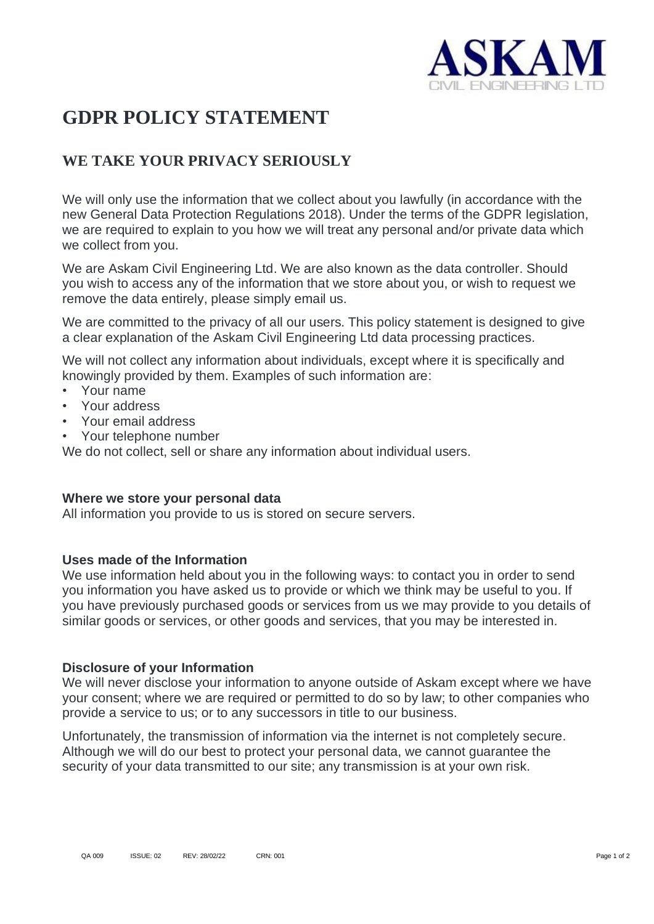

# **GDPR POLICY STATEMENT**

# **WE TAKE YOUR PRIVACY SERIOUSLY**

We will only use the information that we collect about you lawfully (in accordance with the new General Data Protection Regulations 2018). Under the terms of the GDPR legislation, we are required to explain to you how we will treat any personal and/or private data which we collect from you.

We are Askam Civil Engineering Ltd. We are also known as the data controller. Should you wish to access any of the information that we store about you, or wish to request we remove the data entirely, please simply email us.

We are committed to the privacy of all our users. This policy statement is designed to give a clear explanation of the Askam Civil Engineering Ltd data processing practices.

We will not collect any information about individuals, except where it is specifically and knowingly provided by them. Examples of such information are:

- Your name
- Your address
- Your email address
- Your telephone number

We do not collect, sell or share any information about individual users.

### **Where we store your personal data**

All information you provide to us is stored on secure servers.

## **Uses made of the Information**

We use information held about you in the following ways: to contact you in order to send you information you have asked us to provide or which we think may be useful to you. If you have previously purchased goods or services from us we may provide to you details of similar goods or services, or other goods and services, that you may be interested in.

### **Disclosure of your Information**

We will never disclose your information to anyone outside of Askam except where we have your consent; where we are required or permitted to do so by law; to other companies who provide a service to us; or to any successors in title to our business.

Unfortunately, the transmission of information via the internet is not completely secure. Although we will do our best to protect your personal data, we cannot guarantee the security of your data transmitted to our site; any transmission is at your own risk.